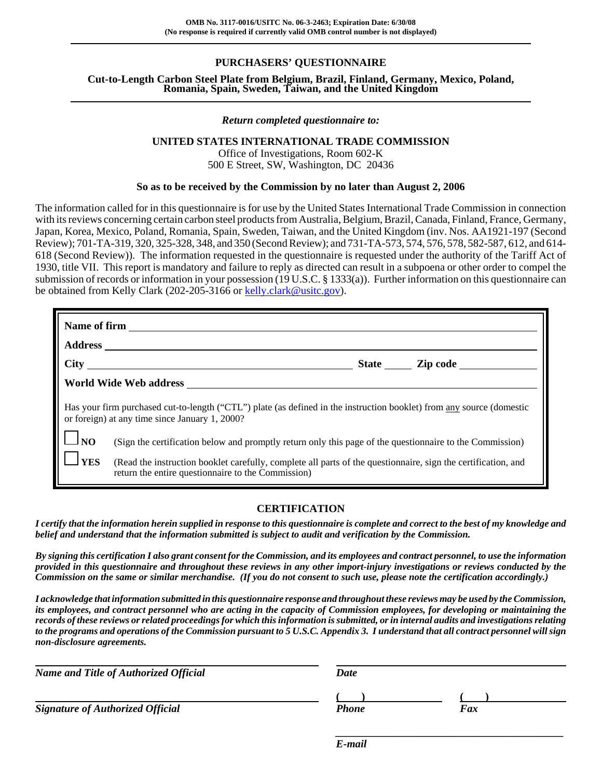## **PURCHASERS' QUESTIONNAIRE**

**Cut-to-Length Carbon Steel Plate from Belgium, Brazil, Finland, Germany, Mexico, Poland, Romania, Spain, Sweden, Taiwan, and the United Kingdom**

#### *Return completed questionnaire to:*

### **UNITED STATES INTERNATIONAL TRADE COMMISSION**

Office of Investigations, Room 602-K 500 E Street, SW, Washington, DC 20436

#### **So as to be received by the Commission by no later than August 2, 2006**

The information called for in this questionnaire is for use by the United States International Trade Commission in connection with its reviews concerning certain carbon steel products from Australia, Belgium, Brazil, Canada, Finland, France, Germany, Japan, Korea, Mexico, Poland, Romania, Spain, Sweden, Taiwan, and the United Kingdom (inv. Nos. AA1921-197 (Second Review); 701-TA-319, 320, 325-328, 348, and 350 (Second Review); and 731-TA-573, 574, 576, 578, 582-587, 612, and 614- 618 (Second Review)). The information requested in the questionnaire is requested under the authority of the Tariff Act of 1930, title VII. This report is mandatory and failure to reply as directed can result in a subpoena or other order to compel the submission of records or information in your possession (19 U.S.C. § 1333(a)). Further information on this questionnaire can be obtained from Kelly Clark (202-205-3166 or kelly.clark@usitc.gov).

|             | Has your firm purchased cut-to-length ("CTL") plate (as defined in the instruction booklet) from any source (domestic<br>or foreign) at any time since January 1, 2000? |  |  |  |  |  |  |
|-------------|-------------------------------------------------------------------------------------------------------------------------------------------------------------------------|--|--|--|--|--|--|
| $\Box$ NO   | (Sign the certification below and promptly return only this page of the questionnaire to the Commission)                                                                |  |  |  |  |  |  |
| <b>IYES</b> | (Read the instruction booklet carefully, complete all parts of the questionnaire, sign the certification, and<br>return the entire questionnaire to the Commission)     |  |  |  |  |  |  |

#### **CERTIFICATION**

*I certify that the information herein supplied in response to this questionnaire is complete and correct to the best of my knowledge and belief and understand that the information submitted is subject to audit and verification by the Commission.*

*By signing this certification I also grant consent for the Commission, and its employees and contract personnel, to use the information provided in this questionnaire and throughout these reviews in any other import-injury investigations or reviews conducted by the Commission on the same or similar merchandise. (If you do not consent to such use, please note the certification accordingly.)*

*I acknowledge that information submitted in this questionnaire response and throughout these reviews may be used by the Commission, its employees, and contract personnel who are acting in the capacity of Commission employees, for developing or maintaining the records of these reviews or related proceedings for which this information is submitted, or in internal audits and investigations relating to the programs and operations of the Commission pursuant to 5 U.S.C. Appendix 3. I understand that all contract personnel will sign non-disclosure agreements.*

| <b>Name and Title of Authorized Official</b> | Date  |     |
|----------------------------------------------|-------|-----|
|                                              |       |     |
| <b>Signature of Authorized Official</b>      | Phone | Fax |

*E-mail*

*\_\_\_\_\_\_\_\_\_\_\_\_\_\_\_\_\_\_\_\_\_\_\_\_\_\_\_\_\_\_\_\_\_\_\_\_\_\_\_\_\_\_*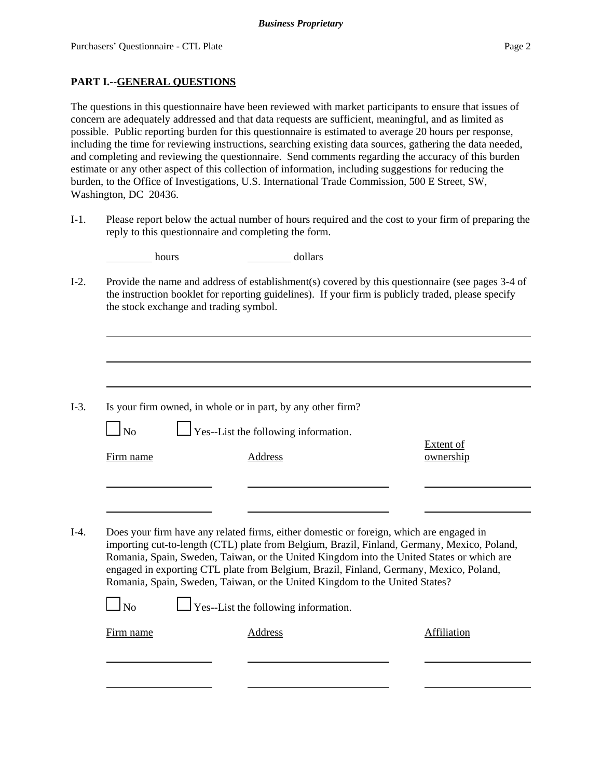### **PART I.--GENERAL QUESTIONS**

The questions in this questionnaire have been reviewed with market participants to ensure that issues of concern are adequately addressed and that data requests are sufficient, meaningful, and as limited as possible. Public reporting burden for this questionnaire is estimated to average 20 hours per response, including the time for reviewing instructions, searching existing data sources, gathering the data needed, and completing and reviewing the questionnaire. Send comments regarding the accuracy of this burden estimate or any other aspect of this collection of information, including suggestions for reducing the burden, to the Office of Investigations, U.S. International Trade Commission, 500 E Street, SW, Washington, DC 20436.

I-1. Please report below the actual number of hours required and the cost to your firm of preparing the reply to this questionnaire and completing the form.

| hours                                                                                                                                                                                                                                            |  | dollars                                                                                                                                                                                                                                                                                                                                                                                                                                                      |                               |  |  |  |  |
|--------------------------------------------------------------------------------------------------------------------------------------------------------------------------------------------------------------------------------------------------|--|--------------------------------------------------------------------------------------------------------------------------------------------------------------------------------------------------------------------------------------------------------------------------------------------------------------------------------------------------------------------------------------------------------------------------------------------------------------|-------------------------------|--|--|--|--|
| Provide the name and address of establishment(s) covered by this questionnaire (see pages 3-4 of<br>the instruction booklet for reporting guidelines). If your firm is publicly traded, please specify<br>the stock exchange and trading symbol. |  |                                                                                                                                                                                                                                                                                                                                                                                                                                                              |                               |  |  |  |  |
|                                                                                                                                                                                                                                                  |  |                                                                                                                                                                                                                                                                                                                                                                                                                                                              |                               |  |  |  |  |
|                                                                                                                                                                                                                                                  |  | Is your firm owned, in whole or in part, by any other firm?                                                                                                                                                                                                                                                                                                                                                                                                  |                               |  |  |  |  |
| <b>No</b>                                                                                                                                                                                                                                        |  | $\Gamma$ Yes--List the following information.                                                                                                                                                                                                                                                                                                                                                                                                                |                               |  |  |  |  |
| Firm name                                                                                                                                                                                                                                        |  | Address                                                                                                                                                                                                                                                                                                                                                                                                                                                      | <b>Extent of</b><br>ownership |  |  |  |  |
|                                                                                                                                                                                                                                                  |  |                                                                                                                                                                                                                                                                                                                                                                                                                                                              |                               |  |  |  |  |
|                                                                                                                                                                                                                                                  |  | Does your firm have any related firms, either domestic or foreign, which are engaged in<br>importing cut-to-length (CTL) plate from Belgium, Brazil, Finland, Germany, Mexico, Poland,<br>Romania, Spain, Sweden, Taiwan, or the United Kingdom into the United States or which are<br>engaged in exporting CTL plate from Belgium, Brazil, Finland, Germany, Mexico, Poland,<br>Romania, Spain, Sweden, Taiwan, or the United Kingdom to the United States? |                               |  |  |  |  |
| No                                                                                                                                                                                                                                               |  | Yes--List the following information.                                                                                                                                                                                                                                                                                                                                                                                                                         |                               |  |  |  |  |
| Firm name                                                                                                                                                                                                                                        |  | Address                                                                                                                                                                                                                                                                                                                                                                                                                                                      | Affiliation                   |  |  |  |  |
|                                                                                                                                                                                                                                                  |  |                                                                                                                                                                                                                                                                                                                                                                                                                                                              |                               |  |  |  |  |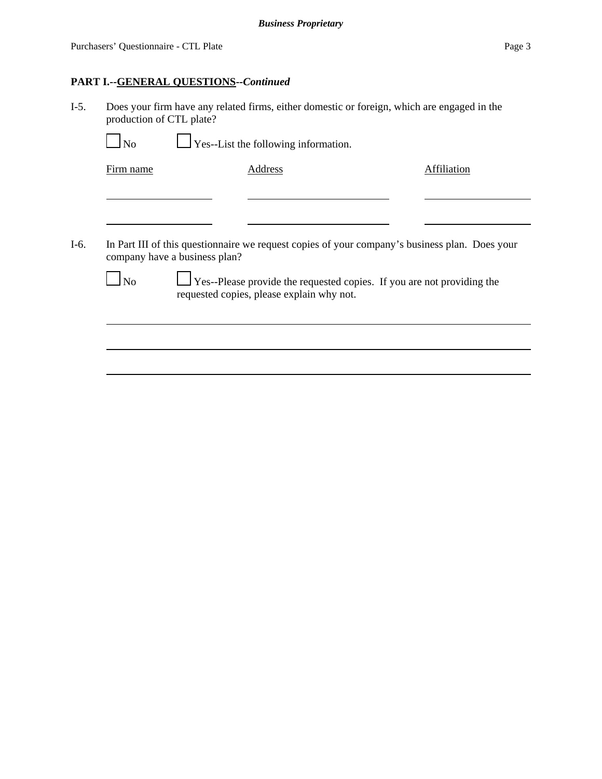### **PART I.--GENERAL QUESTIONS--***Continued*

I-5. Does your firm have any related firms, either domestic or foreign, which are engaged in the production of CTL plate?

 $\bigcup$  Yes--List the following information.

Firm name Address Address Address Affiliation

I-6. In Part III of this questionnaire we request copies of your company's business plan. Does your company have a business plan?

 $\Box$  No  $\Box$  Yes--Please provide the requested copies. If you are not providing the requested copies, please explain why not.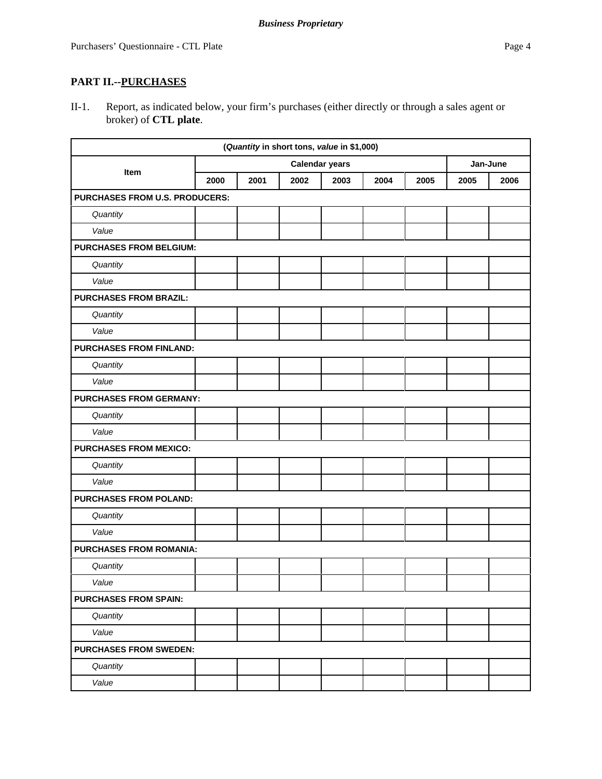# **PART II.--PURCHASES**

II-1. Report, as indicated below, your firm's purchases (either directly or through a sales agent or broker) of **CTL plate**.

| (Quantity in short tons, value in \$1,000) |                       |      |      |      |      |      |          |      |
|--------------------------------------------|-----------------------|------|------|------|------|------|----------|------|
|                                            | <b>Calendar years</b> |      |      |      |      |      | Jan-June |      |
| Item                                       | 2000                  | 2001 | 2002 | 2003 | 2004 | 2005 | 2005     | 2006 |
| <b>PURCHASES FROM U.S. PRODUCERS:</b>      |                       |      |      |      |      |      |          |      |
| Quantity                                   |                       |      |      |      |      |      |          |      |
| Value                                      |                       |      |      |      |      |      |          |      |
| <b>PURCHASES FROM BELGIUM:</b>             |                       |      |      |      |      |      |          |      |
| Quantity                                   |                       |      |      |      |      |      |          |      |
| Value                                      |                       |      |      |      |      |      |          |      |
| <b>PURCHASES FROM BRAZIL:</b>              |                       |      |      |      |      |      |          |      |
| Quantity                                   |                       |      |      |      |      |      |          |      |
| Value                                      |                       |      |      |      |      |      |          |      |
| <b>PURCHASES FROM FINLAND:</b>             |                       |      |      |      |      |      |          |      |
| Quantity                                   |                       |      |      |      |      |      |          |      |
| Value                                      |                       |      |      |      |      |      |          |      |
| <b>PURCHASES FROM GERMANY:</b>             |                       |      |      |      |      |      |          |      |
| Quantity                                   |                       |      |      |      |      |      |          |      |
| Value                                      |                       |      |      |      |      |      |          |      |
| <b>PURCHASES FROM MEXICO:</b>              |                       |      |      |      |      |      |          |      |
| Quantity                                   |                       |      |      |      |      |      |          |      |
| Value                                      |                       |      |      |      |      |      |          |      |
| <b>PURCHASES FROM POLAND:</b>              |                       |      |      |      |      |      |          |      |
| Quantity                                   |                       |      |      |      |      |      |          |      |
| Value                                      |                       |      |      |      |      |      |          |      |
| <b>PURCHASES FROM ROMANIA:</b>             |                       |      |      |      |      |      |          |      |
| Quantity                                   |                       |      |      |      |      |      |          |      |
| Value                                      |                       |      |      |      |      |      |          |      |
| <b>PURCHASES FROM SPAIN:</b>               |                       |      |      |      |      |      |          |      |
| Quantity                                   |                       |      |      |      |      |      |          |      |
| Value                                      |                       |      |      |      |      |      |          |      |
| <b>PURCHASES FROM SWEDEN:</b>              |                       |      |      |      |      |      |          |      |
| Quantity                                   |                       |      |      |      |      |      |          |      |
| Value                                      |                       |      |      |      |      |      |          |      |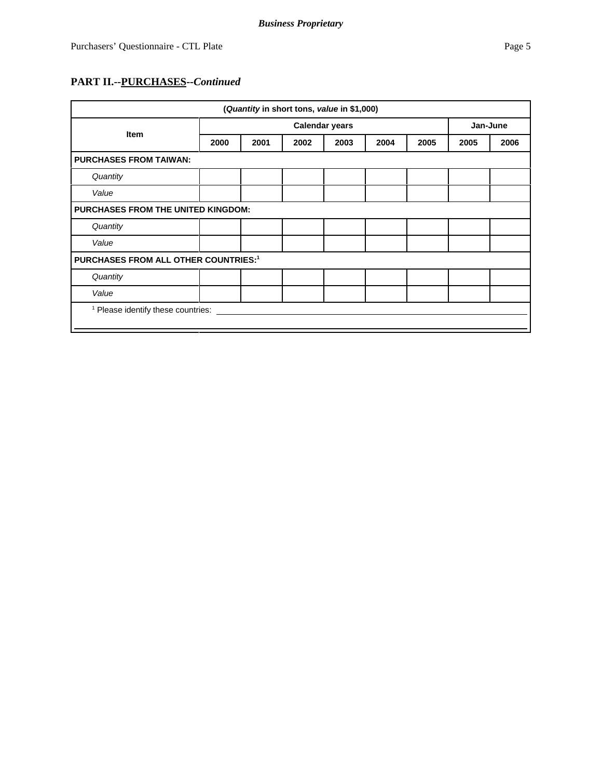# **PART II.--PURCHASES--***Continued*

| (Quantity in short tons, value in \$1,000)    |      |      |                       |      |      |      |          |      |
|-----------------------------------------------|------|------|-----------------------|------|------|------|----------|------|
| <b>Item</b>                                   |      |      | <b>Calendar years</b> |      |      |      | Jan-June |      |
|                                               | 2000 | 2001 | 2002                  | 2003 | 2004 | 2005 | 2005     | 2006 |
| <b>PURCHASES FROM TAIWAN:</b>                 |      |      |                       |      |      |      |          |      |
| Quantity                                      |      |      |                       |      |      |      |          |      |
| Value                                         |      |      |                       |      |      |      |          |      |
| <b>PURCHASES FROM THE UNITED KINGDOM:</b>     |      |      |                       |      |      |      |          |      |
| Quantity                                      |      |      |                       |      |      |      |          |      |
| Value                                         |      |      |                       |      |      |      |          |      |
| <b>PURCHASES FROM ALL OTHER COUNTRIES:1</b>   |      |      |                       |      |      |      |          |      |
| Quantity                                      |      |      |                       |      |      |      |          |      |
| Value                                         |      |      |                       |      |      |      |          |      |
| <sup>1</sup> Please identify these countries: |      |      |                       |      |      |      |          |      |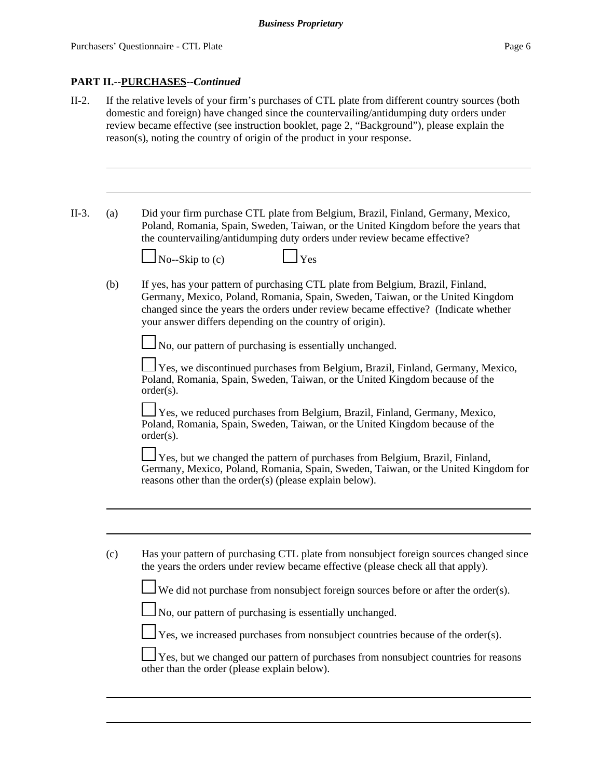### **PART II.--PURCHASES--***Continued*

II-2. If the relative levels of your firm's purchases of CTL plate from different country sources (both domestic and foreign) have changed since the countervailing/antidumping duty orders under review became effective (see instruction booklet, page 2, "Background"), please explain the reason(s), noting the country of origin of the product in your response. II-3. (a) Did your firm purchase CTL plate from Belgium, Brazil, Finland, Germany, Mexico, Poland, Romania, Spain, Sweden, Taiwan, or the United Kingdom before the years that the countervailing/antidumping duty orders under review became effective? No--Skip to  $(c)$   $\Box$  Yes (b) If yes, has your pattern of purchasing CTL plate from Belgium, Brazil, Finland, Germany, Mexico, Poland, Romania, Spain, Sweden, Taiwan, or the United Kingdom changed since the years the orders under review became effective? (Indicate whether your answer differs depending on the country of origin).  $\Box$  No, our pattern of purchasing is essentially unchanged. Yes, we discontinued purchases from Belgium, Brazil, Finland, Germany, Mexico, Poland, Romania, Spain, Sweden, Taiwan, or the United Kingdom because of the order(s). Yes, we reduced purchases from Belgium, Brazil, Finland, Germany, Mexico, Poland, Romania, Spain, Sweden, Taiwan, or the United Kingdom because of the order(s). Yes, but we changed the pattern of purchases from Belgium, Brazil, Finland, Germany, Mexico, Poland, Romania, Spain, Sweden, Taiwan, or the United Kingdom for reasons other than the order(s) (please explain below). (c) Has your pattern of purchasing CTL plate from nonsubject foreign sources changed since the years the orders under review became effective (please check all that apply). We did not purchase from nonsubject foreign sources before or after the order(s).  $\Box$  No, our pattern of purchasing is essentially unchanged.  $\perp$  Yes, we increased purchases from nonsubject countries because of the order(s). Yes, but we changed our pattern of purchases from nonsubject countries for reasons other than the order (please explain below).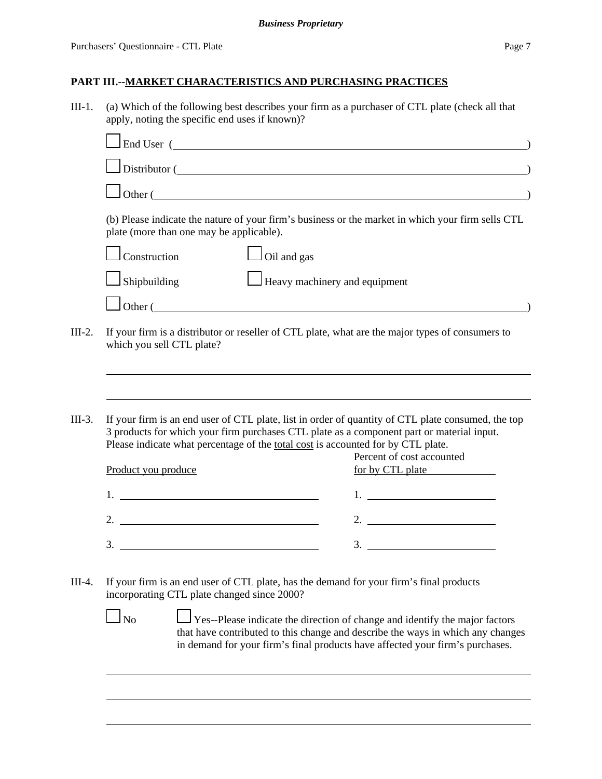III-1. (a) Which of the following best describes your firm as a purchaser of CTL plate (check all that apply, noting the specific end uses if known)?

|          | $\perp$ End User ( $\perp$                                                                                                                                                                                                                                                                                             |                                                                                                                                                                |
|----------|------------------------------------------------------------------------------------------------------------------------------------------------------------------------------------------------------------------------------------------------------------------------------------------------------------------------|----------------------------------------------------------------------------------------------------------------------------------------------------------------|
|          | Distributor (Charles Contains and Distributor Contains and Distributor Contains and Distributor Contains and Distributor Contains and Distributor Contains and Distributor Contains and Distributor Contains and Distributor C                                                                                         |                                                                                                                                                                |
|          | Other (                                                                                                                                                                                                                                                                                                                |                                                                                                                                                                |
|          | (b) Please indicate the nature of your firm's business or the market in which your firm sells CTL<br>plate (more than one may be applicable).                                                                                                                                                                          |                                                                                                                                                                |
|          | $\Box$ Construction<br>$\Box$ Oil and gas                                                                                                                                                                                                                                                                              |                                                                                                                                                                |
|          | $\Box$ Shipbuilding<br>Heavy machinery and equipment                                                                                                                                                                                                                                                                   |                                                                                                                                                                |
|          | $\Box$ Other (                                                                                                                                                                                                                                                                                                         |                                                                                                                                                                |
| $III-2.$ | If your firm is a distributor or reseller of CTL plate, what are the major types of consumers to<br>which you sell CTL plate?                                                                                                                                                                                          |                                                                                                                                                                |
|          |                                                                                                                                                                                                                                                                                                                        |                                                                                                                                                                |
| $III-3.$ | If your firm is an end user of CTL plate, list in order of quantity of CTL plate consumed, the top<br>3 products for which your firm purchases CTL plate as a component part or material input.<br>Please indicate what percentage of the total cost is accounted for by CTL plate.                                    |                                                                                                                                                                |
|          |                                                                                                                                                                                                                                                                                                                        | Percent of cost accounted                                                                                                                                      |
|          | Product you produce                                                                                                                                                                                                                                                                                                    | for by CTL plate                                                                                                                                               |
|          | $1.$ $\frac{1}{2}$ $\frac{1}{2}$ $\frac{1}{2}$ $\frac{1}{2}$ $\frac{1}{2}$ $\frac{1}{2}$ $\frac{1}{2}$ $\frac{1}{2}$ $\frac{1}{2}$ $\frac{1}{2}$ $\frac{1}{2}$ $\frac{1}{2}$ $\frac{1}{2}$ $\frac{1}{2}$ $\frac{1}{2}$ $\frac{1}{2}$ $\frac{1}{2}$ $\frac{1}{2}$ $\frac{1}{2}$ $\frac{1}{2}$ $\frac{1}{2}$ $\frac{1}{$ |                                                                                                                                                                |
|          | 2. $\overline{\phantom{a}}$                                                                                                                                                                                                                                                                                            | 2.                                                                                                                                                             |
|          | $\frac{3}{2}$                                                                                                                                                                                                                                                                                                          |                                                                                                                                                                |
| III-4.   | If your firm is an end user of CTL plate, has the demand for your firm's final products<br>incorporating CTL plate changed since 2000?                                                                                                                                                                                 |                                                                                                                                                                |
|          | $\Box$ No<br>in demand for your firm's final products have affected your firm's purchases.                                                                                                                                                                                                                             | Yes--Please indicate the direction of change and identify the major factors<br>that have contributed to this change and describe the ways in which any changes |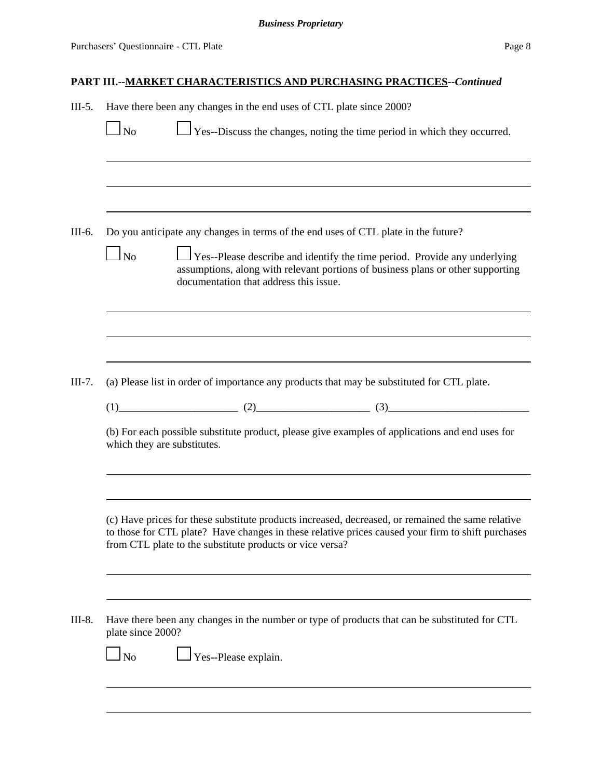| $III-5.$ | Have there been any changes in the end uses of CTL plate since 2000? |                                                                                                                                                                                                                                                                    |  |                                                                                                                                                              |  |  |  |
|----------|----------------------------------------------------------------------|--------------------------------------------------------------------------------------------------------------------------------------------------------------------------------------------------------------------------------------------------------------------|--|--------------------------------------------------------------------------------------------------------------------------------------------------------------|--|--|--|
|          | $\Box$ No                                                            |                                                                                                                                                                                                                                                                    |  | $\Box$ Yes--Discuss the changes, noting the time period in which they occurred.                                                                              |  |  |  |
|          |                                                                      |                                                                                                                                                                                                                                                                    |  |                                                                                                                                                              |  |  |  |
| III-6.   | $\overline{\phantom{a}}$ No                                          | Do you anticipate any changes in terms of the end uses of CTL plate in the future?<br>documentation that address this issue.                                                                                                                                       |  | Yes--Please describe and identify the time period. Provide any underlying<br>assumptions, along with relevant portions of business plans or other supporting |  |  |  |
|          |                                                                      |                                                                                                                                                                                                                                                                    |  |                                                                                                                                                              |  |  |  |
| $III-7.$ |                                                                      | (a) Please list in order of importance any products that may be substituted for CTL plate.<br>$(1)$ $(2)$ $(3)$ $(3)$                                                                                                                                              |  |                                                                                                                                                              |  |  |  |
|          | which they are substitutes.                                          | (b) For each possible substitute product, please give examples of applications and end uses for                                                                                                                                                                    |  |                                                                                                                                                              |  |  |  |
|          |                                                                      | (c) Have prices for these substitute products increased, decreased, or remained the same relative<br>to those for CTL plate? Have changes in these relative prices caused your firm to shift purchases<br>from CTL plate to the substitute products or vice versa? |  |                                                                                                                                                              |  |  |  |
| III-8.   | plate since 2000?<br>$\Box$ No                                       | Have there been any changes in the number or type of products that can be substituted for CTL<br>Yes--Please explain.                                                                                                                                              |  |                                                                                                                                                              |  |  |  |
|          |                                                                      |                                                                                                                                                                                                                                                                    |  |                                                                                                                                                              |  |  |  |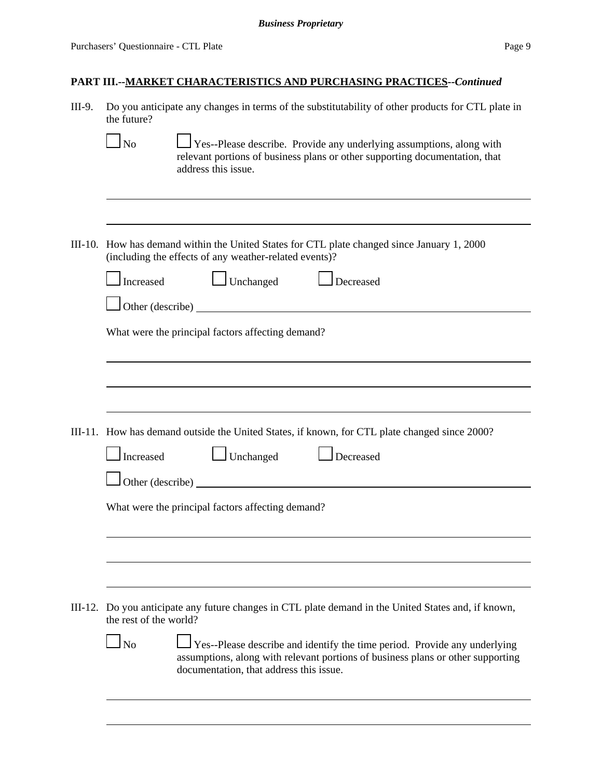| III-9. | Do you anticipate any changes in terms of the substitutability of other products for CTL plate in<br>the future?                                                                                                                |  |  |  |  |  |
|--------|---------------------------------------------------------------------------------------------------------------------------------------------------------------------------------------------------------------------------------|--|--|--|--|--|
|        | $\perp$ Yes--Please describe. Provide any underlying assumptions, along with<br>$\ln$<br>relevant portions of business plans or other supporting documentation, that<br>address this issue.                                     |  |  |  |  |  |
|        |                                                                                                                                                                                                                                 |  |  |  |  |  |
|        | III-10. How has demand within the United States for CTL plate changed since January 1, 2000<br>(including the effects of any weather-related events)?                                                                           |  |  |  |  |  |
|        | Unchanged<br>Increased<br>Decreased                                                                                                                                                                                             |  |  |  |  |  |
|        |                                                                                                                                                                                                                                 |  |  |  |  |  |
|        | What were the principal factors affecting demand?                                                                                                                                                                               |  |  |  |  |  |
|        |                                                                                                                                                                                                                                 |  |  |  |  |  |
|        |                                                                                                                                                                                                                                 |  |  |  |  |  |
|        | III-11. How has demand outside the United States, if known, for CTL plate changed since 2000?                                                                                                                                   |  |  |  |  |  |
|        | $\Box$ Unchanged<br>Increased<br>Decreased                                                                                                                                                                                      |  |  |  |  |  |
|        |                                                                                                                                                                                                                                 |  |  |  |  |  |
|        | What were the principal factors affecting demand?                                                                                                                                                                               |  |  |  |  |  |
|        |                                                                                                                                                                                                                                 |  |  |  |  |  |
|        |                                                                                                                                                                                                                                 |  |  |  |  |  |
|        | III-12. Do you anticipate any future changes in CTL plate demand in the United States and, if known,<br>the rest of the world?                                                                                                  |  |  |  |  |  |
|        | $\overline{\rm ~No}$<br>Yes--Please describe and identify the time period. Provide any underlying<br>assumptions, along with relevant portions of business plans or other supporting<br>documentation, that address this issue. |  |  |  |  |  |
|        |                                                                                                                                                                                                                                 |  |  |  |  |  |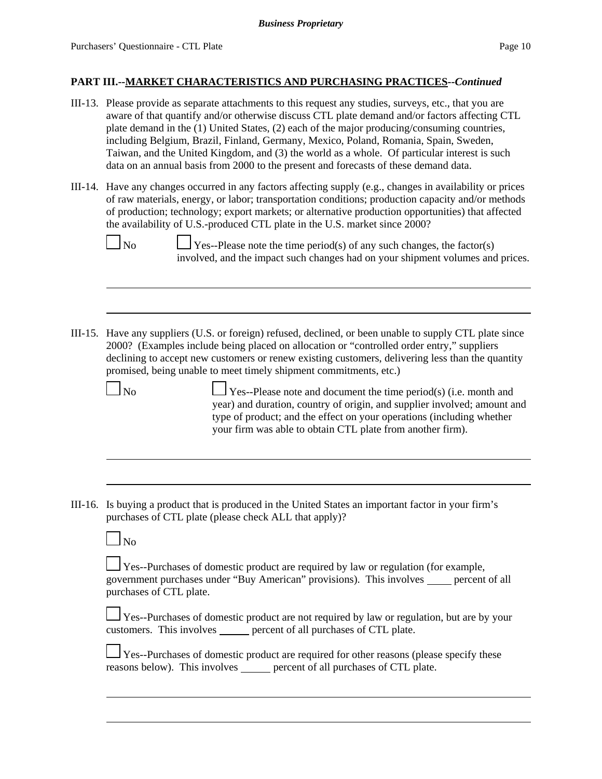- III-13. Please provide as separate attachments to this request any studies, surveys, etc., that you are aware of that quantify and/or otherwise discuss CTL plate demand and/or factors affecting CTL plate demand in the (1) United States, (2) each of the major producing/consuming countries, including Belgium, Brazil, Finland, Germany, Mexico, Poland, Romania, Spain, Sweden, Taiwan, and the United Kingdom, and (3) the world as a whole. Of particular interest is such data on an annual basis from 2000 to the present and forecasts of these demand data.
- III-14. Have any changes occurred in any factors affecting supply (e.g., changes in availability or prices of raw materials, energy, or labor; transportation conditions; production capacity and/or methods of production; technology; export markets; or alternative production opportunities) that affected the availability of U.S.-produced CTL plate in the U.S. market since 2000?



 $\Box$  No  $\Box$  Yes--Please note the time period(s) of any such changes, the factor(s) involved, and the impact such changes had on your shipment volumes and prices.

III-15. Have any suppliers (U.S. or foreign) refused, declined, or been unable to supply CTL plate since 2000? (Examples include being placed on allocation or "controlled order entry," suppliers declining to accept new customers or renew existing customers, delivering less than the quantity promised, being unable to meet timely shipment commitments, etc.)

 $\Box$  No  $\Box$  Yes--Please note and document the time period(s) (i.e. month and year) and duration, country of origin, and supplier involved; amount and type of product; and the effect on your operations (including whether your firm was able to obtain CTL plate from another firm).

III-16. Is buying a product that is produced in the United States an important factor in your firm's purchases of CTL plate (please check ALL that apply)?

|--|--|

Yes--Purchases of domestic product are required by law or regulation (for example, government purchases under "Buy American" provisions). This involves \_\_\_\_\_ percent of all purchases of CTL plate.

Yes--Purchases of domestic product are not required by law or regulation, but are by your customers. This involves percent of all purchases of CTL plate.

 Yes--Purchases of domestic product are required for other reasons (please specify these reasons below). This involves percent of all purchases of CTL plate.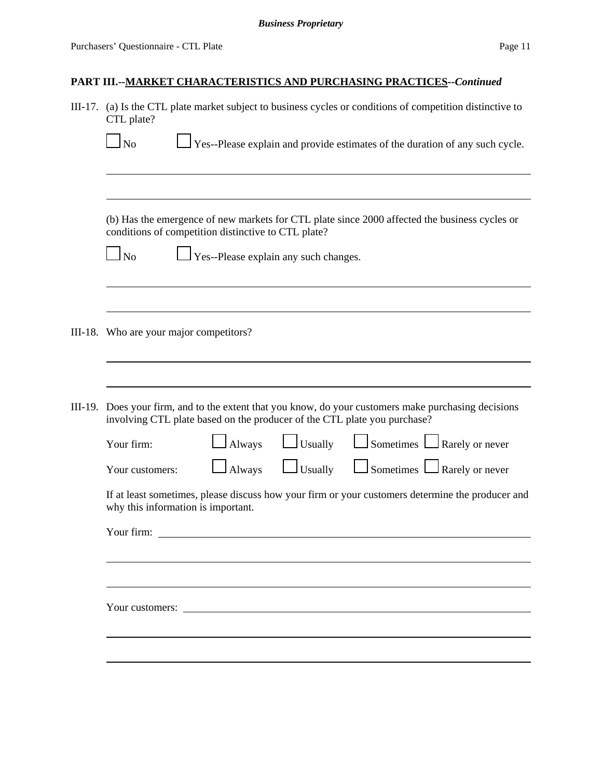| III-17. | (a) Is the CTL plate market subject to business cycles or conditions of competition distinctive to<br>CTL plate?                                                                 |  |  |  |  |  |  |
|---------|----------------------------------------------------------------------------------------------------------------------------------------------------------------------------------|--|--|--|--|--|--|
|         | $\Box$ Yes--Please explain and provide estimates of the duration of any such cycle.<br>N <sub>o</sub>                                                                            |  |  |  |  |  |  |
|         |                                                                                                                                                                                  |  |  |  |  |  |  |
|         | (b) Has the emergence of new markets for CTL plate since 2000 affected the business cycles or<br>conditions of competition distinctive to CTL plate?                             |  |  |  |  |  |  |
|         | $\log$<br>Yes--Please explain any such changes.                                                                                                                                  |  |  |  |  |  |  |
|         | III-18. Who are your major competitors?                                                                                                                                          |  |  |  |  |  |  |
|         |                                                                                                                                                                                  |  |  |  |  |  |  |
|         | III-19. Does your firm, and to the extent that you know, do your customers make purchasing decisions<br>involving CTL plate based on the producer of the CTL plate you purchase? |  |  |  |  |  |  |
|         | $\Box$ Sometimes $\Box$ Rarely or never<br>$\Box$ Usually<br>Always<br>Your firm:                                                                                                |  |  |  |  |  |  |
|         | $\Box$ Sometimes $\Box$ Rarely or never<br>$\Box$ Usually<br>Always<br>Your customers:                                                                                           |  |  |  |  |  |  |
|         | If at least sometimes, please discuss how your firm or your customers determine the producer and<br>why this information is important.                                           |  |  |  |  |  |  |
|         | Your firm:                                                                                                                                                                       |  |  |  |  |  |  |
|         |                                                                                                                                                                                  |  |  |  |  |  |  |
|         | Your customers:                                                                                                                                                                  |  |  |  |  |  |  |
|         |                                                                                                                                                                                  |  |  |  |  |  |  |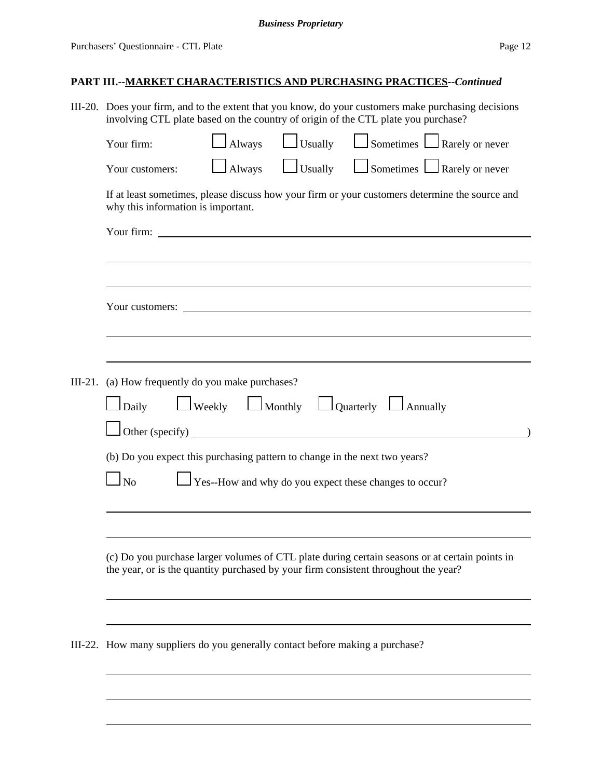| III-20. Does your firm, and to the extent that you know, do your customers make purchasing decisions<br>involving CTL plate based on the country of origin of the CTL plate you purchase? |        |                |                                                                                  |  |  |  |
|-------------------------------------------------------------------------------------------------------------------------------------------------------------------------------------------|--------|----------------|----------------------------------------------------------------------------------|--|--|--|
| Your firm:                                                                                                                                                                                | Always | $\Box$ Usually | $\Box$ Sometimes $\Box$ Rarely or never                                          |  |  |  |
| Your customers:                                                                                                                                                                           | Always | $\Box$ Usually | $\Box$ Sometimes $\Box$ Rarely or never                                          |  |  |  |
| If at least sometimes, please discuss how your firm or your customers determine the source and<br>why this information is important.                                                      |        |                |                                                                                  |  |  |  |
|                                                                                                                                                                                           |        |                |                                                                                  |  |  |  |
|                                                                                                                                                                                           |        |                |                                                                                  |  |  |  |
|                                                                                                                                                                                           |        |                |                                                                                  |  |  |  |
| III-21. (a) How frequently do you make purchases?                                                                                                                                         |        |                |                                                                                  |  |  |  |
| $\Box$ Daily                                                                                                                                                                              |        |                | $\Box$ Weekly $\Box$ Monthly $\Box$ Quarterly $\Box$ Annually<br>Other (specify) |  |  |  |
| (b) Do you expect this purchasing pattern to change in the next two years?                                                                                                                |        |                |                                                                                  |  |  |  |
| Yes--How and why do you expect these changes to occur?<br>N <sub>0</sub>                                                                                                                  |        |                |                                                                                  |  |  |  |
|                                                                                                                                                                                           |        |                |                                                                                  |  |  |  |
| (c) Do you purchase larger volumes of CTL plate during certain seasons or at certain points in<br>the year, or is the quantity purchased by your firm consistent throughout the year?     |        |                |                                                                                  |  |  |  |
|                                                                                                                                                                                           |        |                |                                                                                  |  |  |  |
| III-22. How many suppliers do you generally contact before making a purchase?                                                                                                             |        |                |                                                                                  |  |  |  |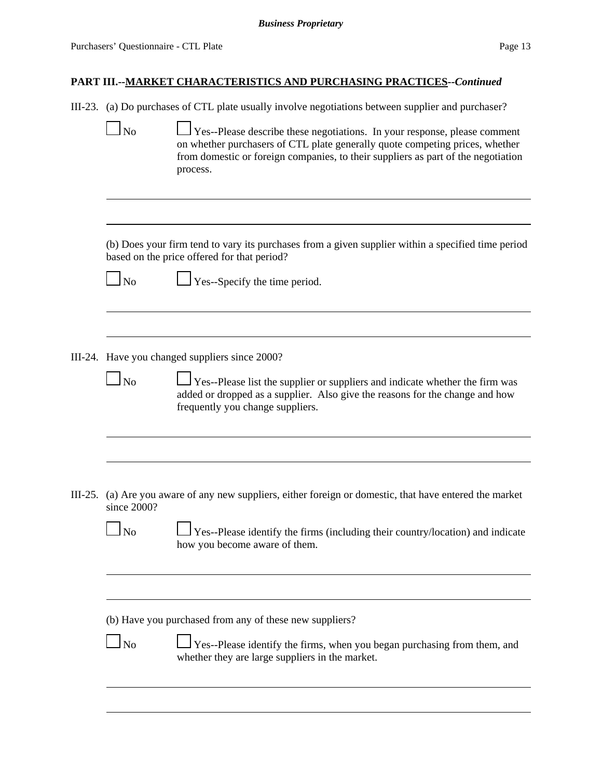negotiation

### **PART III.--MARKET CHARACTERISTICS AND PURCHASING PRACTICES--***Continued*

III-23. (a) Do purchases of CTL plate usually involve negotiations between supplier and purchaser?

| N <sub>0</sub> | $\Box$ Yes--Please describe these negotiations. In your response, please comment  |
|----------------|-----------------------------------------------------------------------------------|
|                | on whether purchasers of CTL plate generally quote competing prices, whether      |
|                | from domestic or foreign companies, to their suppliers as part of the negotiation |
|                | process.                                                                          |

(b) Does your firm tend to vary its purchases from a given supplier within a specified time period based on the price offered for that period?

 $\Box$  No  $\Box$  Yes--Specify the time period.

III-24. Have you changed suppliers since 2000?

 $\Box$  No  $\Box$  Yes--Please list the supplier or suppliers and indicate whether the firm was added or dropped as a supplier. Also give the reasons for the change and how frequently you change suppliers.

III-25. (a) Are you aware of any new suppliers, either foreign or domestic, that have entered the market since 2000?

 $\Box$  No  $\Box$  Yes--Please identify the firms (including their country/location) and indicate how you become aware of them.

(b) Have you purchased from any of these new suppliers?

 $\Box$  Yes--Please identify the firms, when you began purchasing from them, and whether they are large suppliers in the market.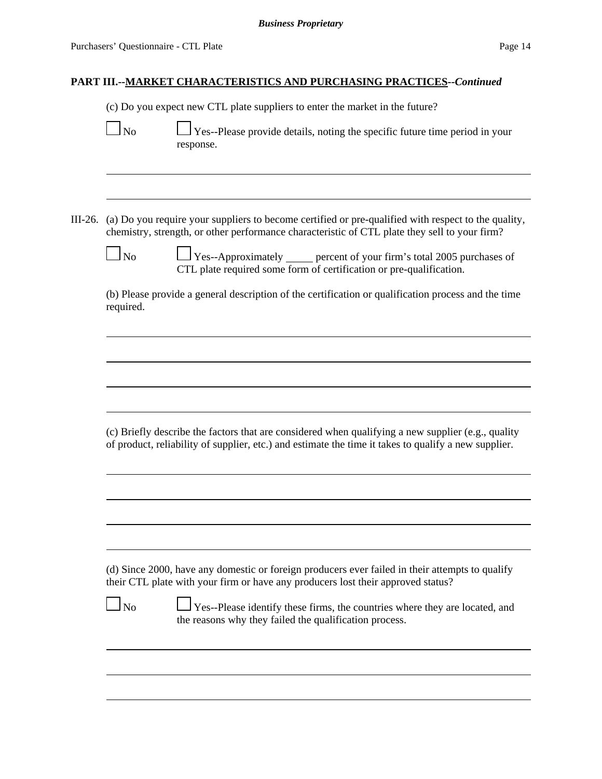(c) Do you expect new CTL plate suppliers to enter the market in the future?

|--|

 $\Box$  Yes--Please provide details, noting the specific future time period in your response.

III-26. (a) Do you require your suppliers to become certified or pre-qualified with respect to the quality, chemistry, strength, or other performance characteristic of CTL plate they sell to your firm?

 $\Box$  No  $\Box$  Yes--Approximately errent of your firm's total 2005 purchases of CTL plate required some form of certification or pre-qualification.

(b) Please provide a general description of the certification or qualification process and the time required.

(c) Briefly describe the factors that are considered when qualifying a new supplier (e.g., quality of product, reliability of supplier, etc.) and estimate the time it takes to qualify a new supplier.

(d) Since 2000, have any domestic or foreign producers ever failed in their attempts to qualify their CTL plate with your firm or have any producers lost their approved status?

|--|--|

 $\bigcup$  Yes--Please identify these firms, the countries where they are located, and the reasons why they failed the qualification process.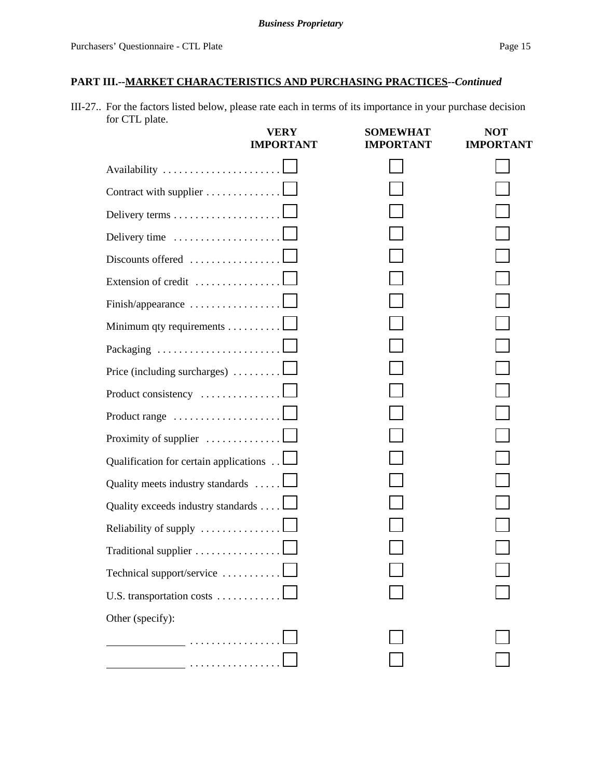III-27.. For the factors listed below, please rate each in terms of its importance in your purchase decision for CTL plate.

|                                                              | VERY<br><b>IMPORTANT</b> | <b>SOMEWHAT</b><br><b>IMPORTANT</b> | <b>NOT</b><br><b>IMPORTANT</b> |
|--------------------------------------------------------------|--------------------------|-------------------------------------|--------------------------------|
|                                                              |                          |                                     |                                |
| Contract with supplier                                       |                          |                                     |                                |
|                                                              |                          |                                     |                                |
| Delivery time                                                |                          |                                     |                                |
| Discounts offered                                            |                          |                                     |                                |
| Extension of credit                                          |                          |                                     |                                |
| Finish/appearance                                            |                          |                                     |                                |
| Minimum qty requirements $\dots \dots \dots$                 |                          |                                     |                                |
| Packaging $\ldots \ldots \ldots \ldots \ldots \ldots \ldots$ |                          |                                     |                                |
| Price (including surcharges) $\ldots \ldots \ldots \square$  |                          |                                     |                                |
| Product consistency                                          |                          |                                     |                                |
|                                                              |                          |                                     |                                |
| Proximity of supplier $\ldots \ldots \ldots \ldots$          |                          |                                     |                                |
| Qualification for certain applications L                     |                          |                                     |                                |
| Quality meets industry standards $\dots$ .                   |                          |                                     |                                |
| Quality exceeds industry standards                           |                          |                                     |                                |
| Reliability of supply $\dots\dots\dots\dots\dots$            |                          |                                     |                                |
| Traditional supplier                                         |                          |                                     |                                |
| Technical support/service                                    |                          |                                     |                                |
| U.S. transportation costs                                    |                          |                                     |                                |
| Other (specify):                                             |                          |                                     |                                |
| .                                                            |                          |                                     |                                |
|                                                              |                          |                                     |                                |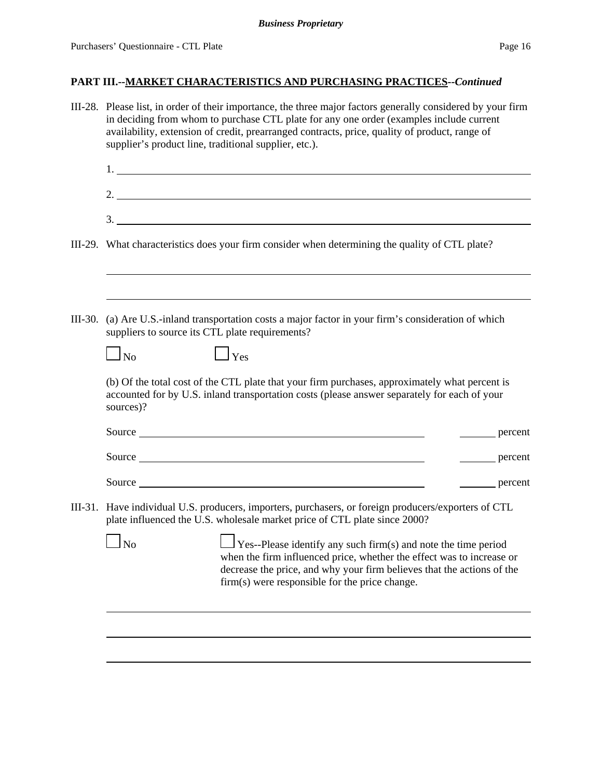#### *Business Proprietary*

# **PART III.--MARKET CHARACTERISTICS AND PURCHASING PRACTICES--***Continued*

|           | III-28. Please list, in order of their importance, the three major factors generally considered by your firm<br>in deciding from whom to purchase CTL plate for any one order (examples include current<br>availability, extension of credit, prearranged contracts, price, quality of product, range of<br>supplier's product line, traditional supplier, etc.). |  |  |  |  |  |  |  |  |
|-----------|-------------------------------------------------------------------------------------------------------------------------------------------------------------------------------------------------------------------------------------------------------------------------------------------------------------------------------------------------------------------|--|--|--|--|--|--|--|--|
|           |                                                                                                                                                                                                                                                                                                                                                                   |  |  |  |  |  |  |  |  |
|           |                                                                                                                                                                                                                                                                                                                                                                   |  |  |  |  |  |  |  |  |
|           | 3.                                                                                                                                                                                                                                                                                                                                                                |  |  |  |  |  |  |  |  |
|           | III-29. What characteristics does your firm consider when determining the quality of CTL plate?                                                                                                                                                                                                                                                                   |  |  |  |  |  |  |  |  |
|           |                                                                                                                                                                                                                                                                                                                                                                   |  |  |  |  |  |  |  |  |
| $III-30.$ | (a) Are U.S.-inland transportation costs a major factor in your firm's consideration of which<br>suppliers to source its CTL plate requirements?                                                                                                                                                                                                                  |  |  |  |  |  |  |  |  |
|           | $\Box$ Yes<br>$\Box$ No                                                                                                                                                                                                                                                                                                                                           |  |  |  |  |  |  |  |  |
|           | (b) Of the total cost of the CTL plate that your firm purchases, approximately what percent is<br>accounted for by U.S. inland transportation costs (please answer separately for each of your<br>sources)?                                                                                                                                                       |  |  |  |  |  |  |  |  |
|           | percent                                                                                                                                                                                                                                                                                                                                                           |  |  |  |  |  |  |  |  |
|           | Source<br>percent                                                                                                                                                                                                                                                                                                                                                 |  |  |  |  |  |  |  |  |
|           | Source<br>percent                                                                                                                                                                                                                                                                                                                                                 |  |  |  |  |  |  |  |  |
|           | III-31. Have individual U.S. producers, importers, purchasers, or foreign producers/exporters of CTL<br>plate influenced the U.S. wholesale market price of CTL plate since 2000?                                                                                                                                                                                 |  |  |  |  |  |  |  |  |
|           | $\Gamma$ <sub>No</sub> $\Gamma$ <sub>Yes</sub> --Please identify any such firm(s) and note the time period<br>when the firm influenced price, whether the effect was to increase or<br>decrease the price, and why your firm believes that the actions of the<br>firm(s) were responsible for the price change.                                                   |  |  |  |  |  |  |  |  |
|           |                                                                                                                                                                                                                                                                                                                                                                   |  |  |  |  |  |  |  |  |
|           |                                                                                                                                                                                                                                                                                                                                                                   |  |  |  |  |  |  |  |  |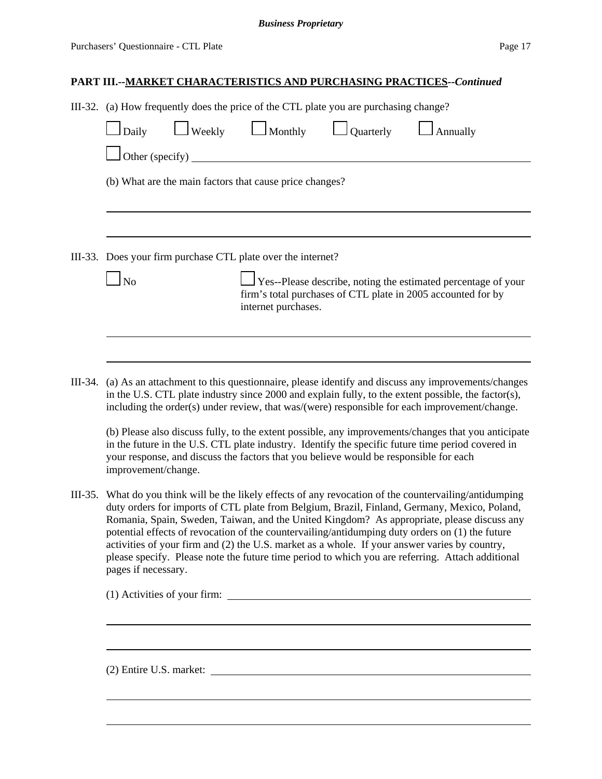III-32. (a) How frequently does the price of the CTL plate you are purchasing change?

| Daily           | Weekly | $\Box$ Monthly                                               | Quarterly | Annually                                                                                                                             |
|-----------------|--------|--------------------------------------------------------------|-----------|--------------------------------------------------------------------------------------------------------------------------------------|
| Other (specify) |        |                                                              |           |                                                                                                                                      |
|                 |        | (b) What are the main factors that cause price changes?      |           |                                                                                                                                      |
|                 |        |                                                              |           |                                                                                                                                      |
|                 |        | III-33. Does your firm purchase CTL plate over the internet? |           |                                                                                                                                      |
|                 |        | internet purchases.                                          |           | $\Box$ Yes--Please describe, noting the estimated percentage of your<br>firm's total purchases of CTL plate in 2005 accounted for by |
|                 |        |                                                              |           |                                                                                                                                      |

III-34. (a) As an attachment to this questionnaire, please identify and discuss any improvements/changes in the U.S. CTL plate industry since 2000 and explain fully, to the extent possible, the factor(s), including the order(s) under review, that was/(were) responsible for each improvement/change.

(b) Please also discuss fully, to the extent possible, any improvements/changes that you anticipate in the future in the U.S. CTL plate industry. Identify the specific future time period covered in your response, and discuss the factors that you believe would be responsible for each improvement/change.

III-35. What do you think will be the likely effects of any revocation of the countervailing/antidumping duty orders for imports of CTL plate from Belgium, Brazil, Finland, Germany, Mexico, Poland, Romania, Spain, Sweden, Taiwan, and the United Kingdom? As appropriate, please discuss any potential effects of revocation of the countervailing/antidumping duty orders on (1) the future activities of your firm and (2) the U.S. market as a whole. If your answer varies by country, please specify. Please note the future time period to which you are referring. Attach additional pages if necessary.

(1) Activities of your firm:

(2) Entire U.S. market: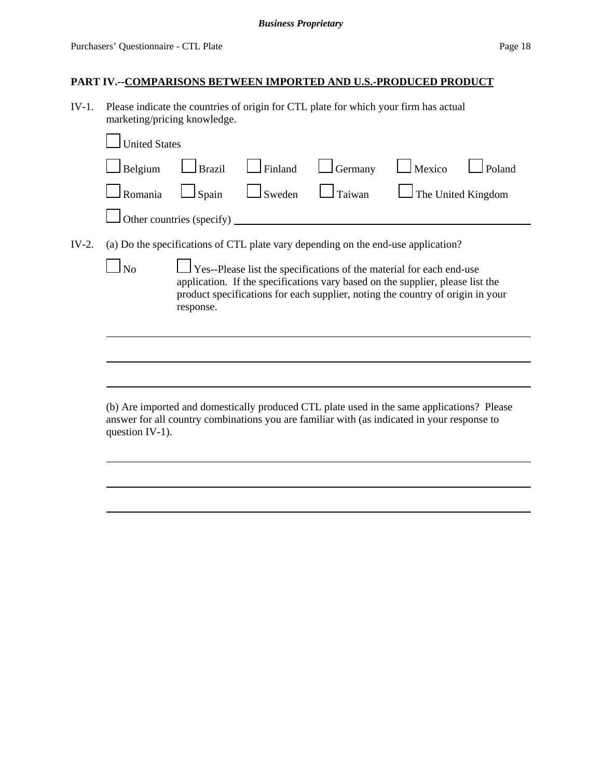## **PART IV.--COMPARISONS BETWEEN IMPORTED AND U.S.-PRODUCED PRODUCT**

IV-1. Please indicate the countries of origin for CTL plate for which your firm has actual marketing/pricing knowledge.

|       | <b>United States</b>                                                                                                                                                                                                                                                |                           |         |                                                                                                                                                                                           |                           |        |  |  |  |  |
|-------|---------------------------------------------------------------------------------------------------------------------------------------------------------------------------------------------------------------------------------------------------------------------|---------------------------|---------|-------------------------------------------------------------------------------------------------------------------------------------------------------------------------------------------|---------------------------|--------|--|--|--|--|
|       | Belgium                                                                                                                                                                                                                                                             | <b>Brazil</b>             | Finland | Germany                                                                                                                                                                                   | Mexico                    | Poland |  |  |  |  |
|       | Romania                                                                                                                                                                                                                                                             | Spain                     | Sweden  | Taiwan                                                                                                                                                                                    | $\Box$ The United Kingdom |        |  |  |  |  |
|       |                                                                                                                                                                                                                                                                     | Other countries (specify) |         |                                                                                                                                                                                           |                           |        |  |  |  |  |
| IV-2. |                                                                                                                                                                                                                                                                     |                           |         | (a) Do the specifications of CTL plate vary depending on the end-use application?                                                                                                         |                           |        |  |  |  |  |
|       | $\perp$ Yes--Please list the specifications of the material for each end-use<br>No<br>application. If the specifications vary based on the supplier, please list the<br>product specifications for each supplier, noting the country of origin in your<br>response. |                           |         |                                                                                                                                                                                           |                           |        |  |  |  |  |
|       |                                                                                                                                                                                                                                                                     |                           |         |                                                                                                                                                                                           |                           |        |  |  |  |  |
|       |                                                                                                                                                                                                                                                                     |                           |         |                                                                                                                                                                                           |                           |        |  |  |  |  |
|       | question IV-1).                                                                                                                                                                                                                                                     |                           |         | (b) Are imported and domestically produced CTL plate used in the same applications? Please<br>answer for all country combinations you are familiar with (as indicated in your response to |                           |        |  |  |  |  |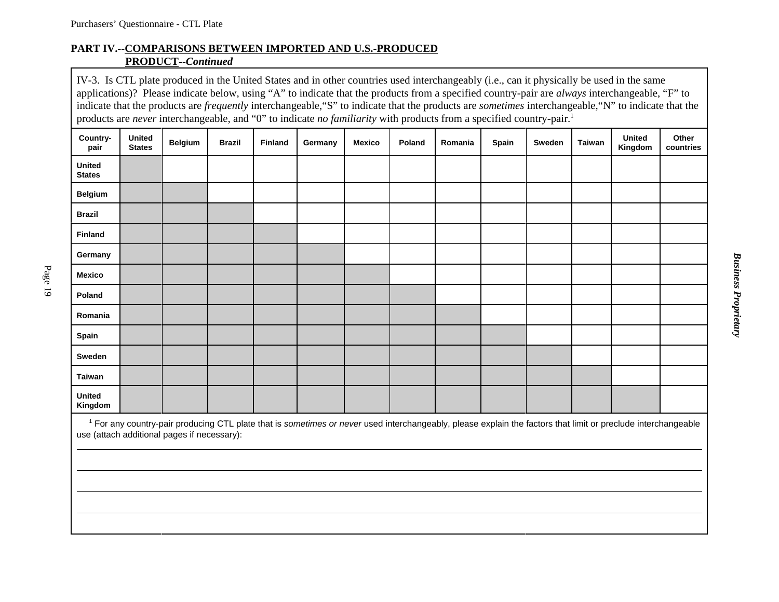### **PART IV.--COMPARISONS BETWEEN IMPORTED AND U.S.-PRODUCEDPRODUCT--***Continued*

IV-3. Is CTL plate produced in the United States and in other countries used interchangeably (i.e., can it physically be used in the same applications)? Please indicate below, using "A" to indicate that the products from a specified country-pair are *always* interchangeable, "F" to indicate that the products are *frequently* interchangeable,"S" to indicate that the products are *sometimes* interchangeable,"N" to indicate that the products are *never* interchangeable, and "0" to indicate *no familiarity* with products from a specified country-pair.<sup>1</sup>

| Country-                       | <b>United</b> | Belgium                                     | <b>Brazil</b> | <b>Finland</b> | Germany | Mexico | Poland | Romania | Spain | Sweden | Taiwan | <b>United</b>                                                                                                                                                            | Other     |
|--------------------------------|---------------|---------------------------------------------|---------------|----------------|---------|--------|--------|---------|-------|--------|--------|--------------------------------------------------------------------------------------------------------------------------------------------------------------------------|-----------|
| pair                           | <b>States</b> |                                             |               |                |         |        |        |         |       |        |        | Kingdom                                                                                                                                                                  | countries |
| <b>United</b><br><b>States</b> |               |                                             |               |                |         |        |        |         |       |        |        |                                                                                                                                                                          |           |
| <b>Belgium</b>                 |               |                                             |               |                |         |        |        |         |       |        |        |                                                                                                                                                                          |           |
| <b>Brazil</b>                  |               |                                             |               |                |         |        |        |         |       |        |        |                                                                                                                                                                          |           |
| <b>Finland</b>                 |               |                                             |               |                |         |        |        |         |       |        |        |                                                                                                                                                                          |           |
| Germany                        |               |                                             |               |                |         |        |        |         |       |        |        |                                                                                                                                                                          |           |
| <b>Mexico</b>                  |               |                                             |               |                |         |        |        |         |       |        |        |                                                                                                                                                                          |           |
| Poland                         |               |                                             |               |                |         |        |        |         |       |        |        |                                                                                                                                                                          |           |
| Romania                        |               |                                             |               |                |         |        |        |         |       |        |        |                                                                                                                                                                          |           |
| Spain                          |               |                                             |               |                |         |        |        |         |       |        |        |                                                                                                                                                                          |           |
| Sweden                         |               |                                             |               |                |         |        |        |         |       |        |        |                                                                                                                                                                          |           |
| <b>Taiwan</b>                  |               |                                             |               |                |         |        |        |         |       |        |        |                                                                                                                                                                          |           |
| United<br>Kingdom              |               |                                             |               |                |         |        |        |         |       |        |        |                                                                                                                                                                          |           |
|                                |               | use (attach additional pages if necessary): |               |                |         |        |        |         |       |        |        | <sup>1</sup> For any country-pair producing CTL plate that is sometimes or never used interchangeably, please explain the factors that limit or preclude interchangeable |           |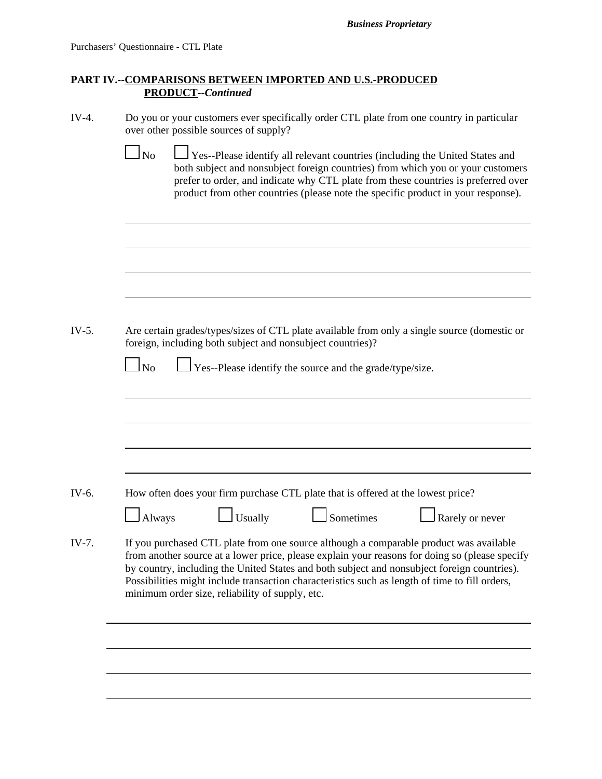*Business Proprietary*

### **PART IV.--COMPARISONS BETWEEN IMPORTED AND U.S.-PRODUCED PRODUCT--***Continued*

| IV-4. | Do you or your customers ever specifically order CTL plate from one country in particular |
|-------|-------------------------------------------------------------------------------------------|
|       | over other possible sources of supply?                                                    |

 $\Box$  No  $\Box$  Yes--Please identify all relevant countries (including the United States and both subject and nonsubject foreign countries) from which you or your customers prefer to order, and indicate why CTL plate from these countries is preferred over product from other countries (please note the specific product in your response).

IV-5. Are certain grades/types/sizes of CTL plate available from only a single source (domestic or foreign, including both subject and nonsubject countries)?

| N <sub>o</sub> |  | $\Box$ Yes--Please identify the source and the grade/type/size. |
|----------------|--|-----------------------------------------------------------------|
|----------------|--|-----------------------------------------------------------------|

- IV-6. How often does your firm purchase CTL plate that is offered at the lowest price?
	- $\Box$  Always  $\Box$  Usually  $\Box$  Sometimes  $\Box$  Rarely or never
		-

IV-7. If you purchased CTL plate from one source although a comparable product was available from another source at a lower price, please explain your reasons for doing so (please specify by country, including the United States and both subject and nonsubject foreign countries). Possibilities might include transaction characteristics such as length of time to fill orders, minimum order size, reliability of supply, etc.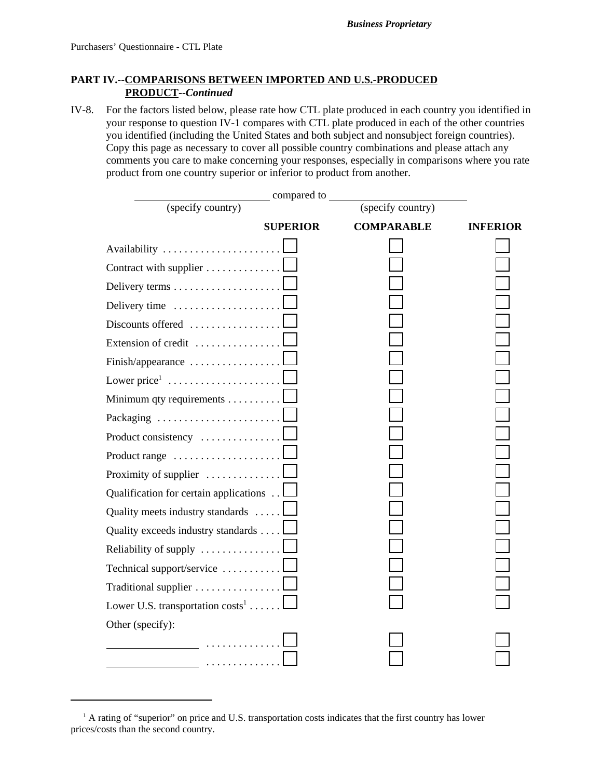### **PART IV.--COMPARISONS BETWEEN IMPORTED AND U.S.-PRODUCED PRODUCT--***Continued*

IV-8. For the factors listed below, please rate how CTL plate produced in each country you identified in your response to question IV-1 compares with CTL plate produced in each of the other countries you identified (including the United States and both subject and nonsubject foreign countries). Copy this page as necessary to cover all possible country combinations and please attach any comments you care to make concerning your responses, especially in comparisons where you rate product from one country superior or inferior to product from another.

|                                                         | _ compared to   |                   |                 |
|---------------------------------------------------------|-----------------|-------------------|-----------------|
| (specify country)                                       |                 | (specify country) |                 |
|                                                         | <b>SUPERIOR</b> | <b>COMPARABLE</b> | <b>INFERIOR</b> |
| Availability                                            |                 |                   |                 |
| Contract with supplier                                  |                 |                   |                 |
|                                                         |                 |                   |                 |
| Delivery time                                           |                 |                   |                 |
| Discounts offered                                       |                 |                   |                 |
| Extension of credit                                     |                 |                   |                 |
| Finish/appearance                                       |                 |                   |                 |
| Lower price $1, \ldots, \ldots, \ldots, \ldots, \ldots$ |                 |                   |                 |
| Minimum qty requirements 1                              |                 |                   |                 |
| Packaging                                               |                 |                   |                 |
| Product consistency                                     |                 |                   |                 |
| Product range                                           |                 |                   |                 |
| Proximity of supplier $\dots \dots \dots \dots$         |                 |                   |                 |
| Qualification for certain applications                  |                 |                   |                 |
| Quality meets industry standards                        |                 |                   |                 |
| Quality exceeds industry standards                      |                 |                   |                 |
| Reliability of supply                                   |                 |                   |                 |
| Technical support/service                               |                 |                   |                 |
| Traditional supplier                                    |                 |                   |                 |
| Lower U.S. transportation $costs^1$                     |                 |                   |                 |
| Other (specify):                                        |                 |                   |                 |
|                                                         |                 |                   |                 |
|                                                         |                 |                   |                 |

<sup>&</sup>lt;sup>1</sup> A rating of "superior" on price and U.S. transportation costs indicates that the first country has lower prices/costs than the second country.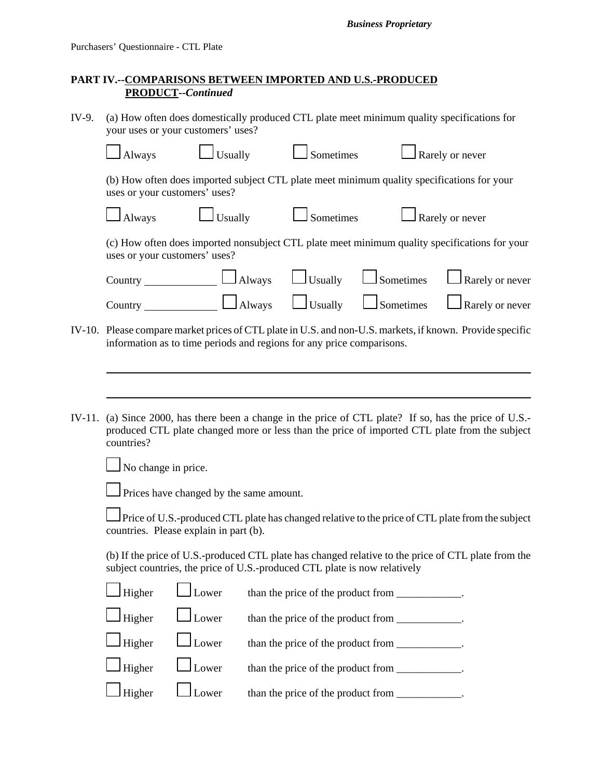*Business Proprietary*

### **PART IV.--COMPARISONS BETWEEN IMPORTED AND U.S.-PRODUCED PRODUCT--***Continued*

IV-9. (a) How often does domestically produced CTL plate meet minimum quality specifications for  $\frac{1}{\sqrt{2}}$ 

|        | your uses or your customers uses:                                                                                           |                                         |                                                                                                                                                                                                   |                  |                 |
|--------|-----------------------------------------------------------------------------------------------------------------------------|-----------------------------------------|---------------------------------------------------------------------------------------------------------------------------------------------------------------------------------------------------|------------------|-----------------|
|        | Always                                                                                                                      | <b>Usually</b>                          | Sometimes                                                                                                                                                                                         |                  | Rarely or never |
|        | (b) How often does imported subject CTL plate meet minimum quality specifications for your<br>uses or your customers' uses? |                                         |                                                                                                                                                                                                   |                  |                 |
|        | Always                                                                                                                      | Usually                                 | Sometimes                                                                                                                                                                                         |                  | Rarely or never |
|        | uses or your customers' uses?                                                                                               |                                         | (c) How often does imported nonsubject CTL plate meet minimum quality specifications for your                                                                                                     |                  |                 |
|        | Country                                                                                                                     | $\Box$ Always                           | $\Box$ Usually                                                                                                                                                                                    | $\Box$ Sometimes | Rarely or never |
|        |                                                                                                                             | $\Box$ Always                           | $\Box$ Usually                                                                                                                                                                                    | $\Box$ Sometimes | Rarely or never |
|        |                                                                                                                             |                                         | IV-10. Please compare market prices of CTL plate in U.S. and non-U.S. markets, if known. Provide specific<br>information as to time periods and regions for any price comparisons.                |                  |                 |
|        |                                                                                                                             |                                         |                                                                                                                                                                                                   |                  |                 |
| IV-11. | countries?                                                                                                                  |                                         | (a) Since 2000, has there been a change in the price of CTL plate? If so, has the price of U.S.-<br>produced CTL plate changed more or less than the price of imported CTL plate from the subject |                  |                 |
|        | No change in price.                                                                                                         |                                         |                                                                                                                                                                                                   |                  |                 |
|        |                                                                                                                             | Prices have changed by the same amount. |                                                                                                                                                                                                   |                  |                 |
|        | countries. Please explain in part (b).                                                                                      |                                         | Price of U.S.-produced CTL plate has changed relative to the price of CTL plate from the subject                                                                                                  |                  |                 |
|        |                                                                                                                             |                                         | (b) If the price of U.S.-produced CTL plate has changed relative to the price of CTL plate from the<br>subject countries, the price of U.S.-produced CTL plate is now relatively                  |                  |                 |
|        | Higher                                                                                                                      | Lower                                   | than the price of the product from ___________.                                                                                                                                                   |                  |                 |
|        | Higher                                                                                                                      | Lower                                   | than the price of the product from ___________.                                                                                                                                                   |                  |                 |
|        | Higher                                                                                                                      | Lower                                   | than the price of the product from ___________.                                                                                                                                                   |                  |                 |

 $\Box$  Higher  $\Box$  Lower than the price of the product from  $\Box$ 

 $\Box$  Higher  $\Box$  Lower than the price of the product from  $\Box$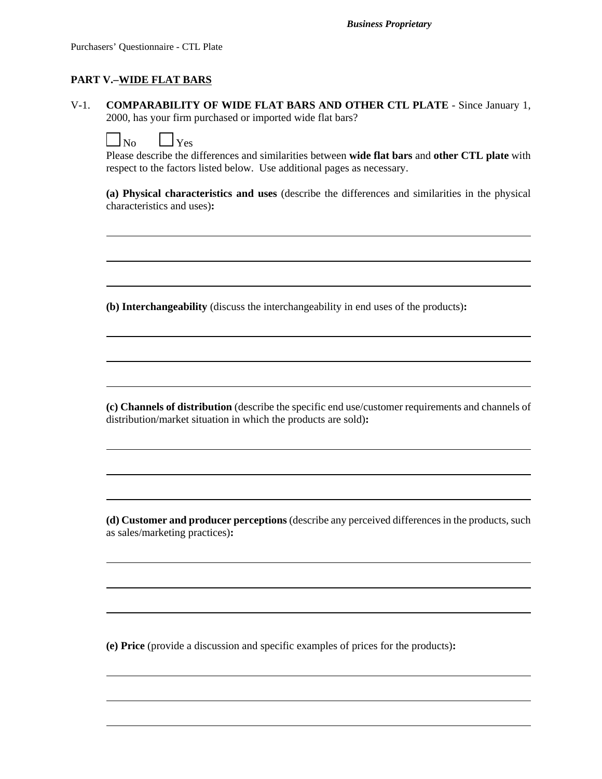#### **PART V.–WIDE FLAT BARS**

V-1. **COMPARABILITY OF WIDE FLAT BARS AND OTHER CTL PLATE** - Since January 1, 2000, has your firm purchased or imported wide flat bars?

| $\cdots$ | ⊶e |
|----------|----|
|          |    |

Please describe the differences and similarities between **wide flat bars** and **other CTL plate** with respect to the factors listed below. Use additional pages as necessary.

**(a) Physical characteristics and uses** (describe the differences and similarities in the physical characteristics and uses)**:**

 $\overline{a}$ 

 $\overline{a}$ 

 $\overline{a}$ 

 $\overline{a}$ 

**(b) Interchangeability** (discuss the interchangeability in end uses of the products)**:**

**(c) Channels of distribution** (describe the specific end use/customer requirements and channels of distribution/market situation in which the products are sold)**:**

 $\overline{a}$ 

 $\overline{a}$ 

**(d) Customer and producer perceptions** (describe any perceived differences in the products, such as sales/marketing practices)**:**

 $\overline{a}$ 

 $\overline{a}$ 

 $\overline{a}$ 

 $\overline{a}$ 

**(e) Price** (provide a discussion and specific examples of prices for the products)**:**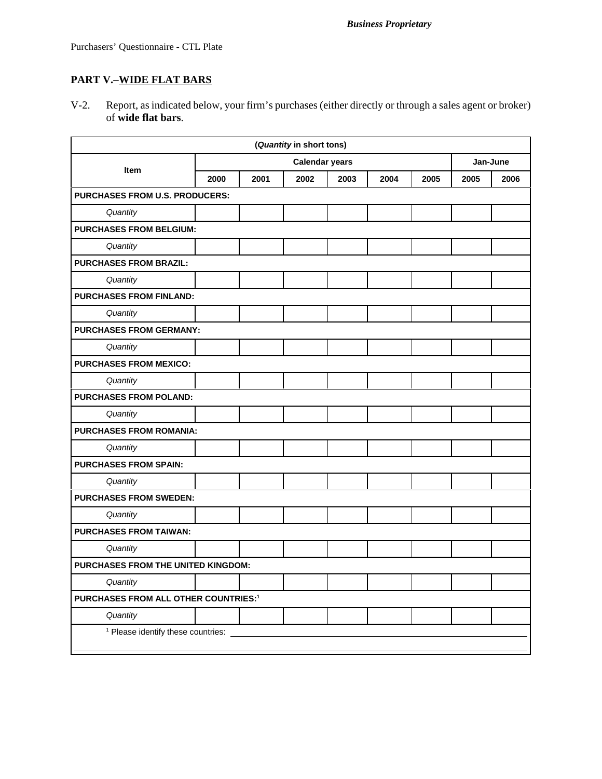# **PART V.–WIDE FLAT BARS**

V-2. Report, as indicated below, your firm's purchases (either directly or through a sales agent or broker) of **wide flat bars**.

| (Quantity in short tons)                         |                                |                       |      |      |      |      |      |          |  |
|--------------------------------------------------|--------------------------------|-----------------------|------|------|------|------|------|----------|--|
|                                                  |                                | <b>Calendar years</b> |      |      |      |      |      | Jan-June |  |
| <b>Item</b>                                      | 2000                           | 2001                  | 2002 | 2003 | 2004 | 2005 | 2005 | 2006     |  |
| <b>PURCHASES FROM U.S. PRODUCERS:</b>            |                                |                       |      |      |      |      |      |          |  |
| Quantity                                         |                                |                       |      |      |      |      |      |          |  |
|                                                  | <b>PURCHASES FROM BELGIUM:</b> |                       |      |      |      |      |      |          |  |
| Quantity                                         |                                |                       |      |      |      |      |      |          |  |
| <b>PURCHASES FROM BRAZIL:</b>                    |                                |                       |      |      |      |      |      |          |  |
| Quantity                                         |                                |                       |      |      |      |      |      |          |  |
| <b>PURCHASES FROM FINLAND:</b>                   |                                |                       |      |      |      |      |      |          |  |
| Quantity                                         |                                |                       |      |      |      |      |      |          |  |
| <b>PURCHASES FROM GERMANY:</b>                   |                                |                       |      |      |      |      |      |          |  |
| Quantity                                         |                                |                       |      |      |      |      |      |          |  |
| <b>PURCHASES FROM MEXICO:</b>                    |                                |                       |      |      |      |      |      |          |  |
| Quantity                                         |                                |                       |      |      |      |      |      |          |  |
| <b>PURCHASES FROM POLAND:</b>                    |                                |                       |      |      |      |      |      |          |  |
| Quantity                                         |                                |                       |      |      |      |      |      |          |  |
| <b>PURCHASES FROM ROMANIA:</b>                   |                                |                       |      |      |      |      |      |          |  |
| Quantity                                         |                                |                       |      |      |      |      |      |          |  |
| <b>PURCHASES FROM SPAIN:</b>                     |                                |                       |      |      |      |      |      |          |  |
| Quantity                                         |                                |                       |      |      |      |      |      |          |  |
| <b>PURCHASES FROM SWEDEN:</b>                    |                                |                       |      |      |      |      |      |          |  |
| Quantity                                         |                                |                       |      |      |      |      |      |          |  |
| <b>PURCHASES FROM TAIWAN:</b>                    |                                |                       |      |      |      |      |      |          |  |
| Quantity                                         |                                |                       |      |      |      |      |      |          |  |
| PURCHASES FROM THE UNITED KINGDOM:               |                                |                       |      |      |      |      |      |          |  |
| Quantity                                         |                                |                       |      |      |      |      |      |          |  |
| PURCHASES FROM ALL OTHER COUNTRIES: <sup>1</sup> |                                |                       |      |      |      |      |      |          |  |
| Quantity                                         |                                |                       |      |      |      |      |      |          |  |
| <sup>1</sup> Please identify these countries:    |                                |                       |      |      |      |      |      |          |  |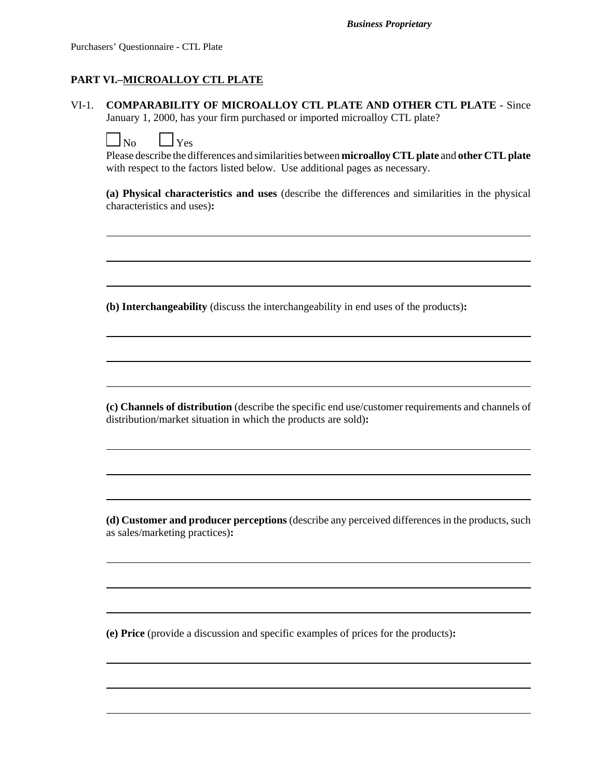### **PART VI.–MICROALLOY CTL PLATE**

VI-1. **COMPARABILITY OF MICROALLOY CTL PLATE AND OTHER CTL PLATE** - Since January 1, 2000, has your firm purchased or imported microalloy CTL plate?

| הו | ∸∾ |
|----|----|
|    |    |

Please describe the differences and similarities between **microalloy CTL plate** and **other CTL plate** with respect to the factors listed below. Use additional pages as necessary.

**(a) Physical characteristics and uses** (describe the differences and similarities in the physical characteristics and uses)**:**

 $\overline{a}$ 

 $\overline{a}$ 

 $\overline{a}$ 

 $\overline{a}$ 

**(b) Interchangeability** (discuss the interchangeability in end uses of the products)**:**

**(c) Channels of distribution** (describe the specific end use/customer requirements and channels of distribution/market situation in which the products are sold)**:**

 $\overline{a}$ 

 $\overline{a}$ 

**(d) Customer and producer perceptions** (describe any perceived differences in the products, such as sales/marketing practices)**:**

 $\overline{a}$ 

 $\overline{a}$ 

 $\overline{a}$ 

 $\overline{a}$ 

**(e) Price** (provide a discussion and specific examples of prices for the products)**:**